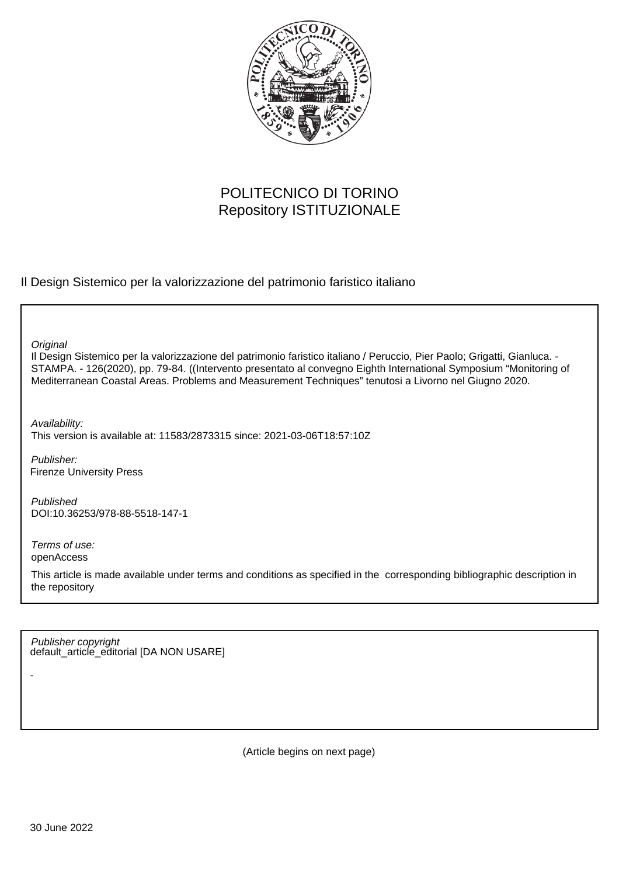

# POLITECNICO DI TORINO Repository ISTITUZIONALE

Il Design Sistemico per la valorizzazione del patrimonio faristico italiano

**Original** 

Il Design Sistemico per la valorizzazione del patrimonio faristico italiano / Peruccio, Pier Paolo; Grigatti, Gianluca. - STAMPA. - 126(2020), pp. 79-84. ((Intervento presentato al convegno Eighth International Symposium "Monitoring of Mediterranean Coastal Areas. Problems and Measurement Techniques" tenutosi a Livorno nel Giugno 2020.

Availability: This version is available at: 11583/2873315 since: 2021-03-06T18:57:10Z

Publisher: Firenze University Press

Published DOI:10.36253/978-88-5518-147-1

Terms of use: openAccess

-

This article is made available under terms and conditions as specified in the corresponding bibliographic description in the repository

default\_article\_editorial [DA NON USARE] Publisher copyright

(Article begins on next page)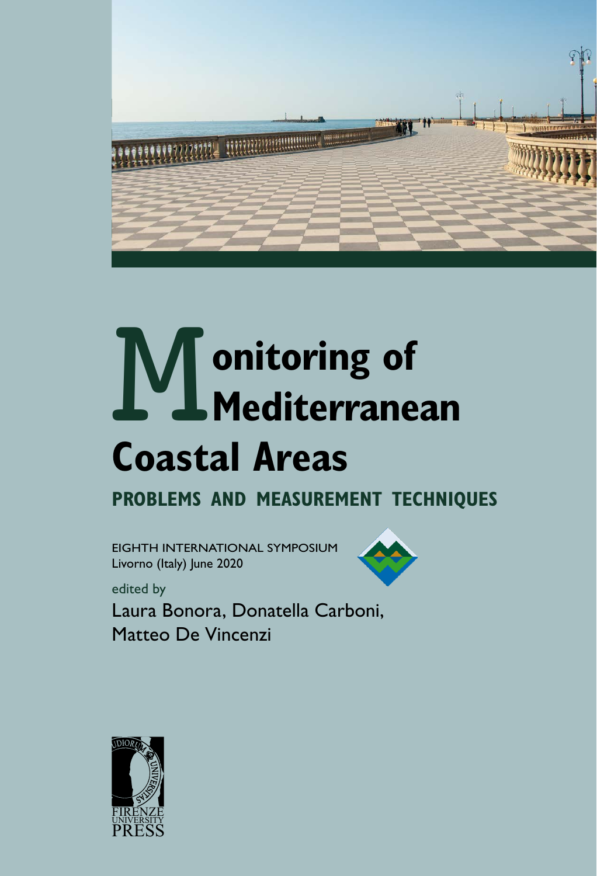

# **M** onitoring of<br> **Mediterranean**<br>
Coastal Areas **Mediterranean Coastal Areas**

**problems and measurement techniques**

EIGHTH INTERNATIONAL SYMPOSIUM Livorno (Italy) June 2020



edited by

Laura Bonora, Donatella Carboni, Matteo De Vincenzi

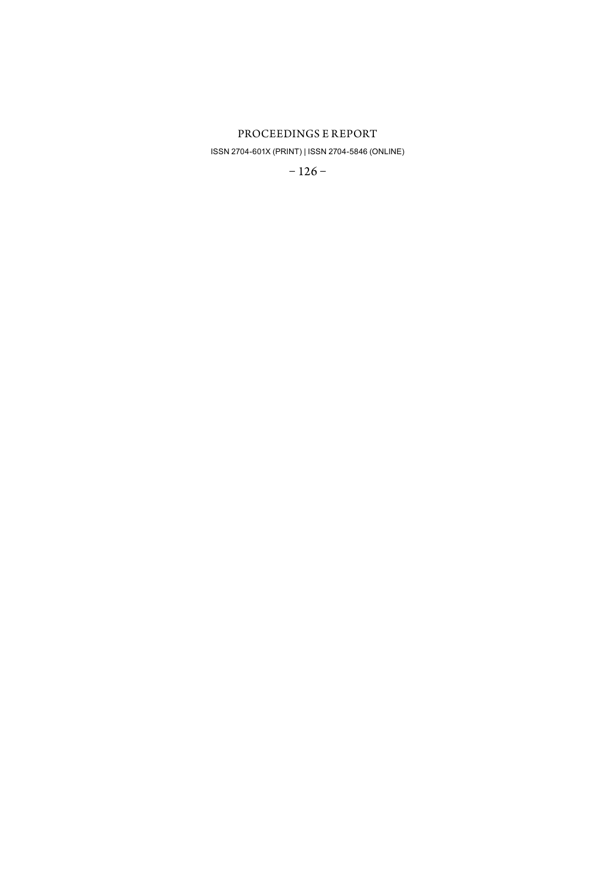#### PROCEEDINGS E REPORT

ISSN 2704-601X (PRINT) | ISSN 2704-5846 (ONLINE)

 $-126-$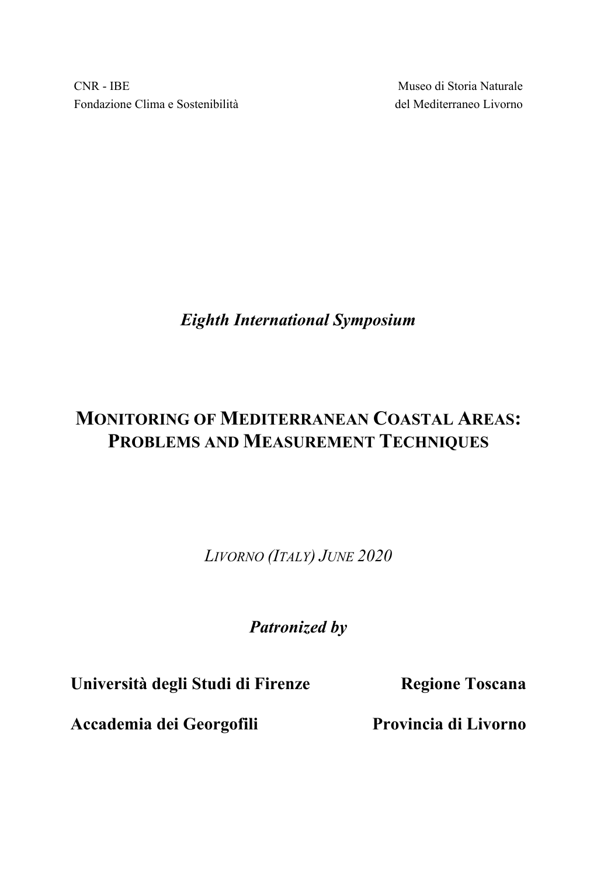CNR - IBE Fondazione Clima e Sostenibilità

Museo di Storia Naturale del Mediterraneo Livorno

*Eighth International Symposium* 

# **MONITORING OF MEDITERRANEAN COASTAL AREAS: PROBLEMS AND MEASUREMENT TECHNIQUES**

*LIVORNO (ITALY) JUNE 2020* 

*Patronized by* 

**Università degli Studi di Firenze Regione Toscana** 

**Accademia dei Georgofili Provincia di Livorno**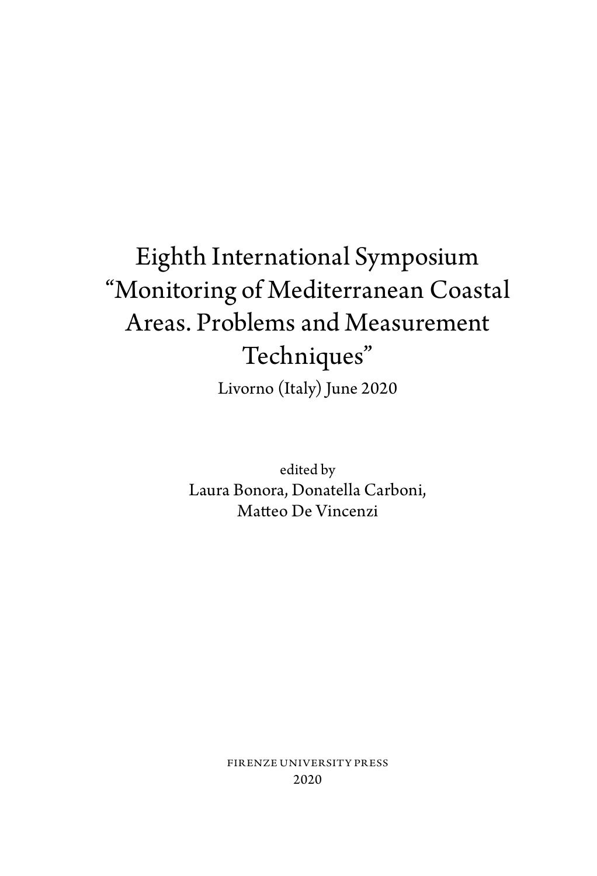# Eighth International Symposium "Monitoring of Mediterranean Coastal Areas. Problems and Measurement Techniques" Livorno (Italy) June 2020

edited by Laura Bonora, Donatella Carboni, Matteo De Vincenzi

> FIRENZE UNIVERSITY PRESS 2020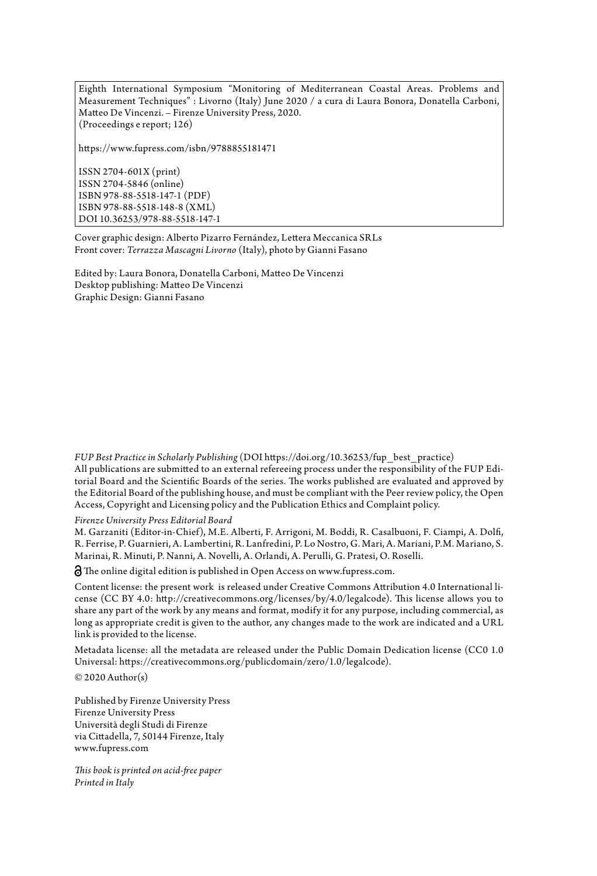Eighth International Symposium "Monitoring of Mediterranean Coastal Areas. Problems and Measurement Techniques" : Livorno (Italy) June 2020 / a cura di Laura Bonora, Donatella Carboni, Matteo De Vincenzi. – Firenze University Press, 2020. (Proceedings e report; 126)

<https://www.fupress.com/isbn/9788855181471>

ISSN 2704-601X (print) ISSN 2704-5846 (online) ISBN 978-88-5518-147-1 (PDF) ISBN 978-88-5518-148-8 (XML) DOI [10.36253/978-88-5518-147-1](https://doi.org/10.36253/978-88-5518-147-1)

Cover graphic design: Alberto Pizarro Fernández, Lettera Meccanica SRLs Front cover: *Terrazza Mascagni Livorno* (Italy), photo by Gianni Fasano

Edited by: Laura Bonora, Donatella Carboni, Matteo De Vincenzi Desktop publishing: Matteo De Vincenzi Graphic Design: Gianni Fasano

*FUP Best Practice in Scholarly Publishing* [\(DOI https://doi.org/10.36253/fup\\_best\\_practice](https://doi.org/10.36253/fup_best_practice)) All publications are submitted to an external refereeing process under the responsibility of the [FUP Edi](https://www.fupress.com/comitatoscientifico)[torial Board and the Scientific Boards of the series.](https://www.fupress.com/comitatoscientifico) The works published are evaluated and approved by the Editorial Board of the publishing house, and must be compliant with the [Peer review policy](https://doi.org/10.36253/fup_best_practice.3), the [Open](https://doi.org/10.36253/fup_best_practice.4)  [Access, Copyright and Licensing policy](https://doi.org/10.36253/fup_best_practice.4) and the [Publication Ethics and Complaint policy.](https://doi.org/10.36253/fup_best_practice.8)

*[Firenze University Press Editorial Board](https://www.fupress.com/comitatoscientifico/consiglio-editoriale-fup/73)*

M. Garzaniti (Editor-in-Chief), M.E. Alberti, F. Arrigoni, M. Boddi, R. Casalbuoni, F. Ciampi, A. Dolfi, R. Ferrise, P. Guarnieri, A. Lambertini, R. Lanfredini, P. Lo Nostro, G. Mari, A. Mariani, P.M. Mariano, S. Marinai, R. Minuti, P. Nanni, A. Novelli, A. Orlandi, A. Perulli, G. Pratesi, O. Roselli.

The online digital edition is published in Open Access on [www.fupress.com.](http://www.fupress.com)

Content license: the present work is released under Creative Commons Attribution 4.0 International license (CC BY 4.0: <http://creativecommons.org/licenses/by/4.0/legalcode>). This license allows you to share any part of the work by any means and format, modify it for any purpose, including commercial, as long as appropriate credit is given to the author, any changes made to the work are indicated and a URL link is provided to the license.

Metadata license: all the metadata are released under the Public Domain Dedication license (CC0 1.0 Universal: <https://creativecommons.org/publicdomain/zero/1.0/legalcode>).  $© 2020 Author(s)$ 

Published by Firenze University Press Firenze University Press Università degli Studi di Firenze via Cittadella, 7, 50144 Firenze, Italy [www.fupress.com](http://www.fupress.com) 

*This book is printed on acid-free paper Printed in Italy*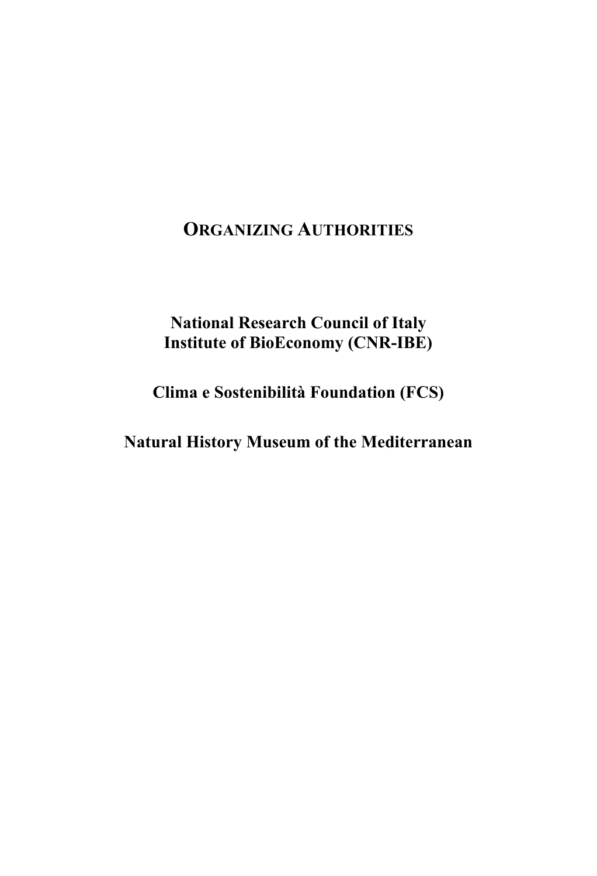## **ORGANIZING AUTHORITIES**

### **National Research Council of Italy Institute of BioEconomy (CNR-IBE)**

**Clima e Sostenibilità Foundation (FCS)** 

**Natural History Museum of the Mediterranean**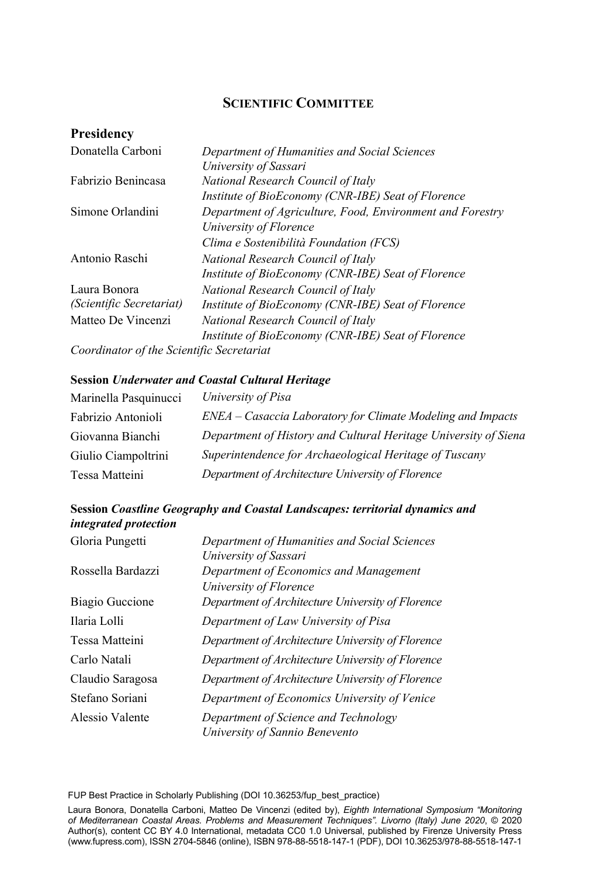#### **SCIENTIFIC COMMITTEE**

#### **Presidency**

| Donatella Carboni                         | Department of Humanities and Social Sciences              |
|-------------------------------------------|-----------------------------------------------------------|
|                                           | University of Sassari                                     |
| Fabrizio Benincasa                        | National Research Council of Italy                        |
|                                           | Institute of BioEconomy (CNR-IBE) Seat of Florence        |
| Simone Orlandini                          | Department of Agriculture, Food, Environment and Forestry |
|                                           | University of Florence                                    |
|                                           | Clima e Sostenibilità Foundation (FCS)                    |
| Antonio Raschi                            | National Research Council of Italy                        |
|                                           | Institute of BioEconomy (CNR-IBE) Seat of Florence        |
| Laura Bonora                              | National Research Council of Italy                        |
| (Scientific Secretariat)                  | Institute of BioEconomy (CNR-IBE) Seat of Florence        |
| Matteo De Vincenzi                        | National Research Council of Italy                        |
|                                           | Institute of BioEconomy (CNR-IBE) Seat of Florence        |
| Coordinator of the Scientific Secretariat |                                                           |

#### **Session** *Underwater and Coastal Cultural Heritage*

| Marinella Pasquinucci | University of Pisa                                              |
|-----------------------|-----------------------------------------------------------------|
| Fabrizio Antonioli    | ENEA – Casaccia Laboratory for Climate Modeling and Impacts     |
| Giovanna Bianchi      | Department of History and Cultural Heritage University of Siena |
| Giulio Ciampoltrini   | Superintendence for Archaeological Heritage of Tuscany          |
| Tessa Matteini        | Department of Architecture University of Florence               |

#### **Session** *Coastline Geography and Coastal Landscapes: territorial dynamics and integrated protection*

| Gloria Pungetti   | Department of Humanities and Social Sciences      |
|-------------------|---------------------------------------------------|
|                   | University of Sassari                             |
| Rossella Bardazzi | Department of Economics and Management            |
|                   | University of Florence                            |
| Biagio Guccione   | Department of Architecture University of Florence |
| Ilaria Lolli      | Department of Law University of Pisa              |
| Tessa Matteini    | Department of Architecture University of Florence |
| Carlo Natali      | Department of Architecture University of Florence |
| Claudio Saragosa  | Department of Architecture University of Florence |
| Stefano Soriani   | Department of Economics University of Venice      |
| Alessio Valente   | Department of Science and Technology              |
|                   | University of Sannio Benevento                    |

V FUP Best Practice in Scholarly Publishing (DOI [10.36253/fup\\_best\\_practice](https://doi.org/10.36253/fup_best_practice))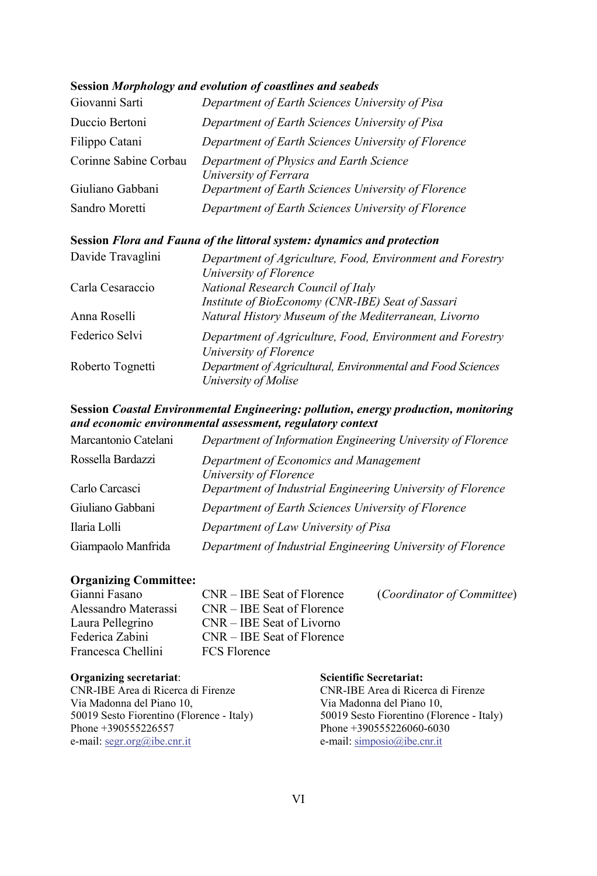#### **Session** *Morphology and evolution of coastlines and seabeds*

| Giovanni Sarti        | Department of Earth Sciences University of Pisa                  |
|-----------------------|------------------------------------------------------------------|
| Duccio Bertoni        | Department of Earth Sciences University of Pisa                  |
| Filippo Catani        | Department of Earth Sciences University of Florence              |
| Corinne Sabine Corbau | Department of Physics and Earth Science<br>University of Ferrara |
| Giuliano Gabbani      | Department of Earth Sciences University of Florence              |
| Sandro Moretti        | Department of Earth Sciences University of Florence              |

#### **Session** *Flora and Fauna of the littoral system: dynamics and protection*

| Davide Travaglini | Department of Agriculture, Food, Environment and Forestry                           |
|-------------------|-------------------------------------------------------------------------------------|
|                   | University of Florence                                                              |
| Carla Cesaraccio  | National Research Council of Italy                                                  |
|                   | Institute of BioEconomy (CNR-IBE) Seat of Sassari                                   |
| Anna Roselli      | Natural History Museum of the Mediterranean, Livorno                                |
| Federico Selvi    | Department of Agriculture, Food, Environment and Forestry<br>University of Florence |
| Roberto Tognetti  | Department of Agricultural, Environmental and Food Sciences                         |
|                   | University of Molise                                                                |

#### **Session** *Coastal Environmental Engineering: pollution, energy production, monitoring and economic environmental assessment, regulatory context*

| Marcantonio Catelani | Department of Information Engineering University of Florence     |
|----------------------|------------------------------------------------------------------|
| Rossella Bardazzi    | Department of Economics and Management<br>University of Florence |
| Carlo Carcasci       | Department of Industrial Engineering University of Florence      |
| Giuliano Gabbani     | Department of Earth Sciences University of Florence              |
| Ilaria Lolli         | Department of Law University of Pisa                             |
| Giampaolo Manfrida   | Department of Industrial Engineering University of Florence      |

#### **Organizing Committee:**

| Gianni Fasano        | $CNR - IBE$ Seat of Florence | (Coordinator of Committee) |
|----------------------|------------------------------|----------------------------|
| Alessandro Materassi | $CNR - IBE$ Seat of Florence |                            |
| Laura Pellegrino     | $CNR - IBE$ Seat of Livorno  |                            |
| Federica Zabini      | $CNR - IBE$ Seat of Florence |                            |
| Francesca Chellini   | <b>FCS Florence</b>          |                            |
|                      |                              |                            |

#### **Organizing secretariat**:

CNR-IBE Area di Ricerca di Firenze Via Madonna del Piano 10, 50019 Sesto Fiorentino (Florence - Italy) Phone +390555226557 e-mail: segr.org@ibe.cnr.it

#### **Scientific Secretariat:**

CNR-IBE Area di Ricerca di Firenze Via Madonna del Piano 10, 50019 Sesto Fiorentino (Florence - Italy) Phone +390555226060-6030 e-mail: simposio@ibe.cnr.it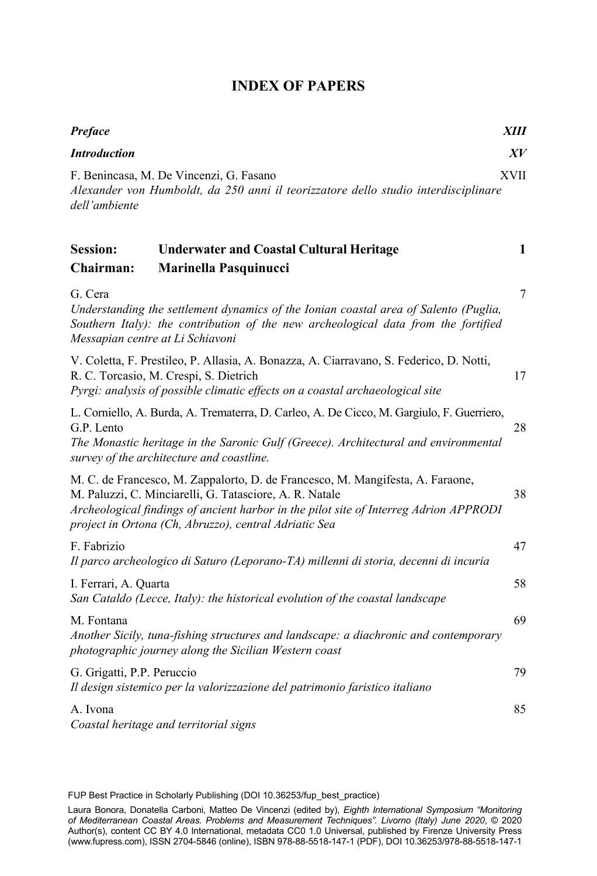#### **INDEX OF PAPERS**

| <b>Introduction</b><br>XV<br><b>XVII</b><br>F. Benincasa, M. De Vincenzi, G. Fasano                                                                                                                                                                                                               |
|---------------------------------------------------------------------------------------------------------------------------------------------------------------------------------------------------------------------------------------------------------------------------------------------------|
|                                                                                                                                                                                                                                                                                                   |
| Alexander von Humboldt, da 250 anni il teorizzatore dello studio interdisciplinare<br>dell'ambiente                                                                                                                                                                                               |
| <b>Session:</b><br><b>Underwater and Coastal Cultural Heritage</b><br>1<br>Chairman:<br>Marinella Pasquinucci                                                                                                                                                                                     |
| $\tau$<br>G. Cera<br>Understanding the settlement dynamics of the Ionian coastal area of Salento (Puglia,<br>Southern Italy): the contribution of the new archeological data from the fortified<br>Messapian centre at Li Schiavoni                                                               |
| V. Coletta, F. Prestileo, P. Allasia, A. Bonazza, A. Ciarravano, S. Federico, D. Notti,<br>R. C. Torcasio, M. Crespi, S. Dietrich<br>17<br>Pyrgi: analysis of possible climatic effects on a coastal archaeological site                                                                          |
| L. Corniello, A. Burda, A. Trematerra, D. Carleo, A. De Cicco, M. Gargiulo, F. Guerriero,<br>G.P. Lento<br>28<br>The Monastic heritage in the Saronic Gulf (Greece). Architectural and environmental<br>survey of the architecture and coastline.                                                 |
| M. C. de Francesco, M. Zappalorto, D. de Francesco, M. Mangifesta, A. Faraone,<br>M. Paluzzi, C. Minciarelli, G. Tatasciore, A. R. Natale<br>38<br>Archeological findings of ancient harbor in the pilot site of Interreg Adrion APPRODI<br>project in Ortona (Ch, Abruzzo), central Adriatic Sea |
| F. Fabrizio<br>47<br>Il parco archeologico di Saturo (Leporano-TA) millenni di storia, decenni di incuria                                                                                                                                                                                         |
| 58<br>I. Ferrari, A. Quarta<br>San Cataldo (Lecce, Italy): the historical evolution of the coastal landscape                                                                                                                                                                                      |
| 69<br>M. Fontana<br>Another Sicily, tuna-fishing structures and landscape: a diachronic and contemporary<br>photographic journey along the Sicilian Western coast                                                                                                                                 |
| G. Grigatti, P.P. Peruccio<br>79<br>Il design sistemico per la valorizzazione del patrimonio faristico italiano                                                                                                                                                                                   |
| 85<br>A. Ivona<br>Coastal heritage and territorial signs                                                                                                                                                                                                                                          |

FUP Best Practice in Scholarly Publishing (DOI [10.36253/fup\\_best\\_practice](https://doi.org/10.36253/fup_best_practice))

Laura Bonora, Donatella Carboni, Matteo De Vincenzi (edited by), *Eighth International Symposium "Monitoring of Mediterranean Coastal Areas. Problems and Measurement Techniques". Livorno (Italy) June 2020*, © 2020 Author(s), content [CC BY 4.0 International,](http://creativecommons.org/licenses/by/4.0/legalcode) metadata [CC0 1.0 Universal](https://creativecommons.org/publicdomain/zero/1.0/legalcode), published by Firenze University Press [\(www.fupress.com\)](http://www.fupress.com), ISSN 2704-5846 (online), ISBN 978-88-5518-147-1 (PDF), DOI [10.36253/978-88-5518-147-1](https://doi.org/10.36253/978-88-5518-147-1)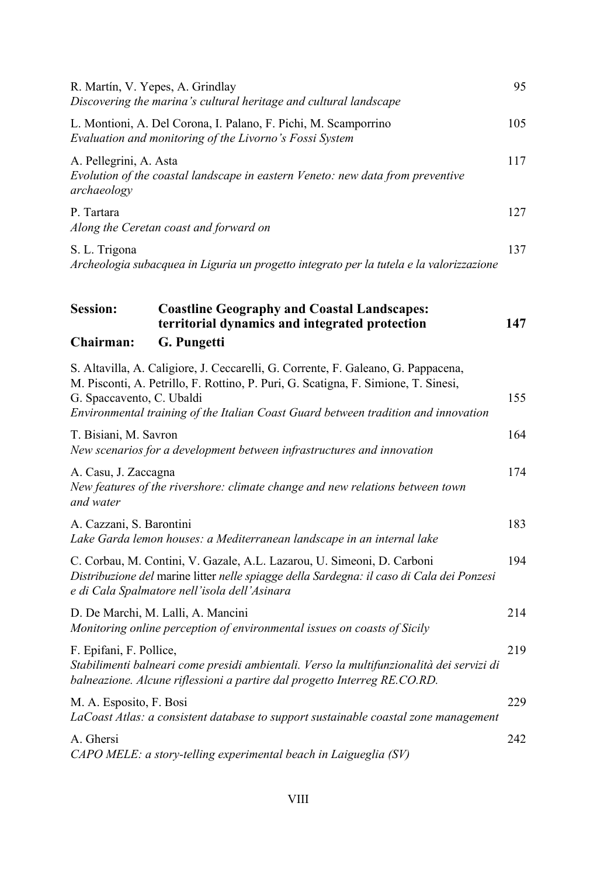|                                       | R. Martín, V. Yepes, A. Grindlay<br>Discovering the marina's cultural heritage and cultural landscape                                                                                                                                                         | 95  |
|---------------------------------------|---------------------------------------------------------------------------------------------------------------------------------------------------------------------------------------------------------------------------------------------------------------|-----|
|                                       | L. Montioni, A. Del Corona, I. Palano, F. Pichi, M. Scamporrino<br>Evaluation and monitoring of the Livorno's Fossi System                                                                                                                                    | 105 |
| A. Pellegrini, A. Asta<br>archaeology | Evolution of the coastal landscape in eastern Veneto: new data from preventive                                                                                                                                                                                | 117 |
| P. Tartara                            | Along the Ceretan coast and forward on                                                                                                                                                                                                                        | 127 |
| S. L. Trigona                         | Archeologia subacquea in Liguria un progetto integrato per la tutela e la valorizzazione                                                                                                                                                                      | 137 |
| Session:                              | <b>Coastline Geography and Coastal Landscapes:</b><br>territorial dynamics and integrated protection                                                                                                                                                          | 147 |
| Chairman:                             | G. Pungetti                                                                                                                                                                                                                                                   |     |
| G. Spaccavento, C. Ubaldi             | S. Altavilla, A. Caligiore, J. Ceccarelli, G. Corrente, F. Galeano, G. Pappacena,<br>M. Pisconti, A. Petrillo, F. Rottino, P. Puri, G. Scatigna, F. Simione, T. Sinesi,<br>Environmental training of the Italian Coast Guard between tradition and innovation | 155 |
| T. Bisiani, M. Savron                 | New scenarios for a development between infrastructures and innovation                                                                                                                                                                                        | 164 |
| A. Casu, J. Zaccagna<br>and water     | New features of the rivershore: climate change and new relations between town                                                                                                                                                                                 | 174 |
| A. Cazzani, S. Barontini              | Lake Garda lemon houses: a Mediterranean landscape in an internal lake                                                                                                                                                                                        | 183 |
|                                       | C. Corbau, M. Contini, V. Gazale, A.L. Lazarou, U. Simeoni, D. Carboni<br>Distribuzione del marine litter nelle spiagge della Sardegna: il caso di Cala dei Ponzesi<br>e di Cala Spalmatore nell'isola dell'Asinara                                           | 194 |
|                                       | D. De Marchi, M. Lalli, A. Mancini<br>Monitoring online perception of environmental issues on coasts of Sicily                                                                                                                                                | 214 |
| F. Epifani, F. Pollice,               | Stabilimenti balneari come presidi ambientali. Verso la multifunzionalità dei servizi di<br>balneazione. Alcune riflessioni a partire dal progetto Interreg RE.CO.RD.                                                                                         | 219 |
| M. A. Esposito, F. Bosi               | LaCoast Atlas: a consistent database to support sustainable coastal zone management                                                                                                                                                                           | 229 |
| A. Ghersi                             | CAPO MELE: a story-telling experimental beach in Laigueglia (SV)                                                                                                                                                                                              | 242 |
|                                       |                                                                                                                                                                                                                                                               |     |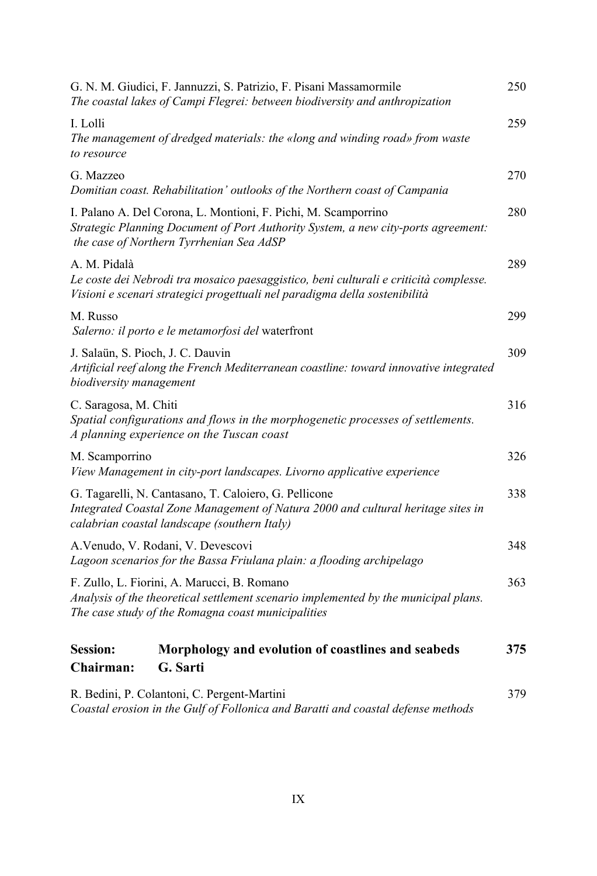|                                                                                                                                                                                           | G. N. M. Giudici, F. Jannuzzi, S. Patrizio, F. Pisani Massamormile<br>The coastal lakes of Campi Flegrei: between biodiversity and anthropization                                               | 250 |
|-------------------------------------------------------------------------------------------------------------------------------------------------------------------------------------------|-------------------------------------------------------------------------------------------------------------------------------------------------------------------------------------------------|-----|
| I. Lolli<br>to resource                                                                                                                                                                   | The management of dredged materials: the «long and winding road» from waste                                                                                                                     | 259 |
| G. Mazzeo                                                                                                                                                                                 | Domitian coast. Rehabilitation' outlooks of the Northern coast of Campania                                                                                                                      | 270 |
|                                                                                                                                                                                           | I. Palano A. Del Corona, L. Montioni, F. Pichi, M. Scamporrino<br>Strategic Planning Document of Port Authority System, a new city-ports agreement:<br>the case of Northern Tyrrhenian Sea AdSP | 280 |
| A. M. Pidalà                                                                                                                                                                              | Le coste dei Nebrodi tra mosaico paesaggistico, beni culturali e criticità complesse.<br>Visioni e scenari strategici progettuali nel paradigma della sostenibilità                             | 289 |
| M. Russo                                                                                                                                                                                  | Salerno: il porto e le metamorfosi del waterfront                                                                                                                                               | 299 |
| J. Salaün, S. Pioch, J. C. Dauvin<br>Artificial reef along the French Mediterranean coastline: toward innovative integrated<br>biodiversity management                                    |                                                                                                                                                                                                 | 309 |
| C. Saragosa, M. Chiti<br>Spatial configurations and flows in the morphogenetic processes of settlements.<br>A planning experience on the Tuscan coast                                     |                                                                                                                                                                                                 | 316 |
| M. Scamporrino                                                                                                                                                                            | View Management in city-port landscapes. Livorno applicative experience                                                                                                                         | 326 |
| G. Tagarelli, N. Cantasano, T. Caloiero, G. Pellicone<br>Integrated Coastal Zone Management of Natura 2000 and cultural heritage sites in<br>calabrian coastal landscape (southern Italy) |                                                                                                                                                                                                 | 338 |
|                                                                                                                                                                                           | A. Venudo, V. Rodani, V. Devescovi<br>Lagoon scenarios for the Bassa Friulana plain: a flooding archipelago                                                                                     | 348 |
|                                                                                                                                                                                           | F. Zullo, L. Fiorini, A. Marucci, B. Romano<br>Analysis of the theoretical settlement scenario implemented by the municipal plans.<br>The case study of the Romagna coast municipalities        |     |
| <b>Session:</b><br>Chairman:                                                                                                                                                              | Morphology and evolution of coastlines and seabeds<br>G. Sarti                                                                                                                                  | 375 |
|                                                                                                                                                                                           | R. Bedini, P. Colantoni, C. Pergent-Martini<br>Coastal erosion in the Gulf of Follonica and Baratti and coastal defense methods                                                                 | 379 |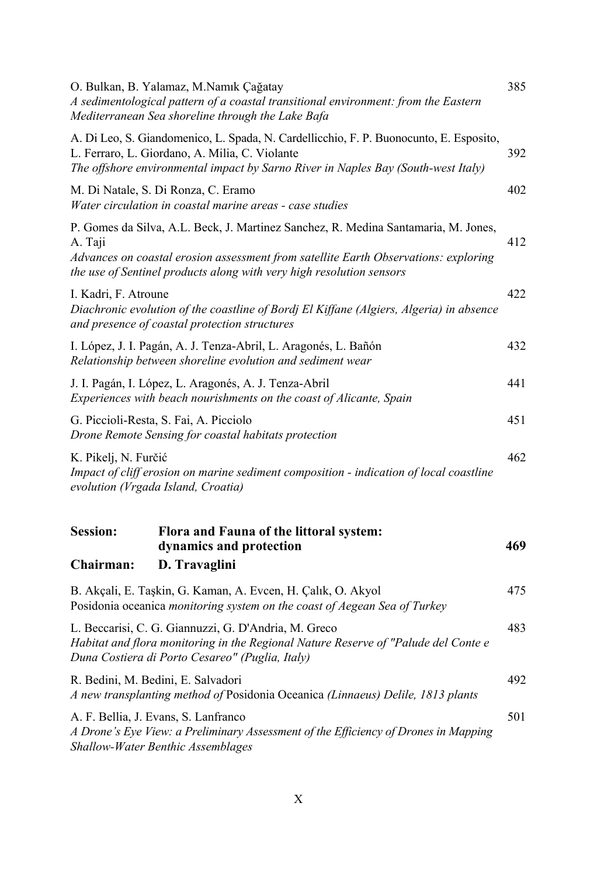| O. Bulkan, B. Yalamaz, M.Namık Çağatay<br>A sedimentological pattern of a coastal transitional environment: from the Eastern<br>Mediterranean Sea shoreline through the Lake Bafa                                                                            | 385 |  |
|--------------------------------------------------------------------------------------------------------------------------------------------------------------------------------------------------------------------------------------------------------------|-----|--|
| A. Di Leo, S. Giandomenico, L. Spada, N. Cardellicchio, F. P. Buonocunto, E. Esposito,<br>L. Ferraro, L. Giordano, A. Milia, C. Violante<br>The offshore environmental impact by Sarno River in Naples Bay (South-west Italy)                                | 392 |  |
| M. Di Natale, S. Di Ronza, C. Eramo<br>Water circulation in coastal marine areas - case studies                                                                                                                                                              | 402 |  |
| P. Gomes da Silva, A.L. Beck, J. Martinez Sanchez, R. Medina Santamaria, M. Jones,<br>A. Taji<br>Advances on coastal erosion assessment from satellite Earth Observations: exploring<br>the use of Sentinel products along with very high resolution sensors | 412 |  |
| I. Kadri, F. Atroune<br>Diachronic evolution of the coastline of Bordj El Kiffane (Algiers, Algeria) in absence<br>and presence of coastal protection structures                                                                                             | 422 |  |
| I. López, J. I. Pagán, A. J. Tenza-Abril, L. Aragonés, L. Bañón<br>Relationship between shoreline evolution and sediment wear                                                                                                                                |     |  |
| J. I. Pagán, I. López, L. Aragonés, A. J. Tenza-Abril<br>Experiences with beach nourishments on the coast of Alicante, Spain                                                                                                                                 |     |  |
| G. Piccioli-Resta, S. Fai, A. Picciolo<br>Drone Remote Sensing for coastal habitats protection                                                                                                                                                               |     |  |
| K. Pikelj, N. Furčić<br>Impact of cliff erosion on marine sediment composition - indication of local coastline<br>evolution (Vrgada Island, Croatia)                                                                                                         |     |  |
| <b>Session:</b><br>Flora and Fauna of the littoral system:<br>dynamics and protection<br>D. Travaglini<br>Chairman:                                                                                                                                          | 469 |  |
| B. Akçali, E. Taşkin, G. Kaman, A. Evcen, H. Çalık, O. Akyol<br>Posidonia oceanica monitoring system on the coast of Aegean Sea of Turkey                                                                                                                    | 475 |  |
| L. Beccarisi, C. G. Giannuzzi, G. D'Andria, M. Greco<br>Habitat and flora monitoring in the Regional Nature Reserve of "Palude del Conte e<br>Duna Costiera di Porto Cesareo" (Puglia, Italy)                                                                | 483 |  |
| R. Bedini, M. Bedini, E. Salvadori<br>A new transplanting method of Posidonia Oceanica (Linnaeus) Delile, 1813 plants                                                                                                                                        | 492 |  |
| A. F. Bellia, J. Evans, S. Lanfranco<br>A Drone's Eye View: a Preliminary Assessment of the Efficiency of Drones in Mapping<br>Shallow-Water Benthic Assemblages                                                                                             | 501 |  |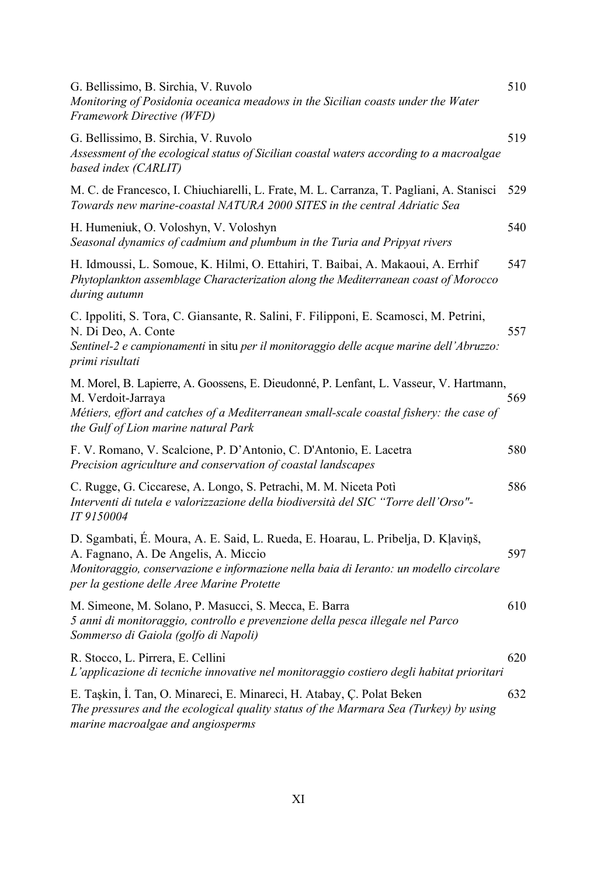| G. Bellissimo, B. Sirchia, V. Ruvolo<br>Monitoring of Posidonia oceanica meadows in the Sicilian coasts under the Water<br>Framework Directive (WFD)                                                                                                             | 510 |
|------------------------------------------------------------------------------------------------------------------------------------------------------------------------------------------------------------------------------------------------------------------|-----|
| G. Bellissimo, B. Sirchia, V. Ruvolo<br>Assessment of the ecological status of Sicilian coastal waters according to a macroalgae<br>based index (CARLIT)                                                                                                         | 519 |
| M. C. de Francesco, I. Chiuchiarelli, L. Frate, M. L. Carranza, T. Pagliani, A. Stanisci<br>Towards new marine-coastal NATURA 2000 SITES in the central Adriatic Sea                                                                                             | 529 |
| H. Humeniuk, O. Voloshyn, V. Voloshyn<br>Seasonal dynamics of cadmium and plumbum in the Turia and Pripyat rivers                                                                                                                                                | 540 |
| H. Idmoussi, L. Somoue, K. Hilmi, O. Ettahiri, T. Baibai, A. Makaoui, A. Errhif<br>Phytoplankton assemblage Characterization along the Mediterranean coast of Morocco<br>during autumn                                                                           | 547 |
| C. Ippoliti, S. Tora, C. Giansante, R. Salini, F. Filipponi, E. Scamosci, M. Petrini,<br>N. Di Deo, A. Conte<br>Sentinel-2 e campionamenti in situ per il monitoraggio delle acque marine dell'Abruzzo:<br>primi risultati                                       | 557 |
| M. Morel, B. Lapierre, A. Goossens, E. Dieudonné, P. Lenfant, L. Vasseur, V. Hartmann,<br>M. Verdoit-Jarraya<br>Métiers, effort and catches of a Mediterranean small-scale coastal fishery: the case of<br>the Gulf of Lion marine natural Park                  | 569 |
| F. V. Romano, V. Scalcione, P. D'Antonio, C. D'Antonio, E. Lacetra<br>Precision agriculture and conservation of coastal landscapes                                                                                                                               | 580 |
| C. Rugge, G. Ciccarese, A. Longo, S. Petrachi, M. M. Niceta Potì<br>Interventi di tutela e valorizzazione della biodiversità del SIC "Torre dell'Orso"-<br>IT 9150004                                                                                            | 586 |
| D. Sgambati, É. Moura, A. E. Said, L. Rueda, E. Hoarau, L. Pribelja, D. Kļaviņš,<br>A. Fagnano, A. De Angelis, A. Miccio<br>Monitoraggio, conservazione e informazione nella baia di Ieranto: un modello circolare<br>per la gestione delle Aree Marine Protette | 597 |
| M. Simeone, M. Solano, P. Masucci, S. Mecca, E. Barra<br>5 anni di monitoraggio, controllo e prevenzione della pesca illegale nel Parco<br>Sommerso di Gaiola (golfo di Napoli)                                                                                  | 610 |
| R. Stocco, L. Pirrera, E. Cellini<br>L'applicazione di tecniche innovative nel monitoraggio costiero degli habitat prioritari                                                                                                                                    | 620 |
| E. Taşkin, İ. Tan, O. Minareci, E. Minareci, H. Atabay, Ç. Polat Beken<br>The pressures and the ecological quality status of the Marmara Sea (Turkey) by using<br>marine macroalgae and angiosperms                                                              | 632 |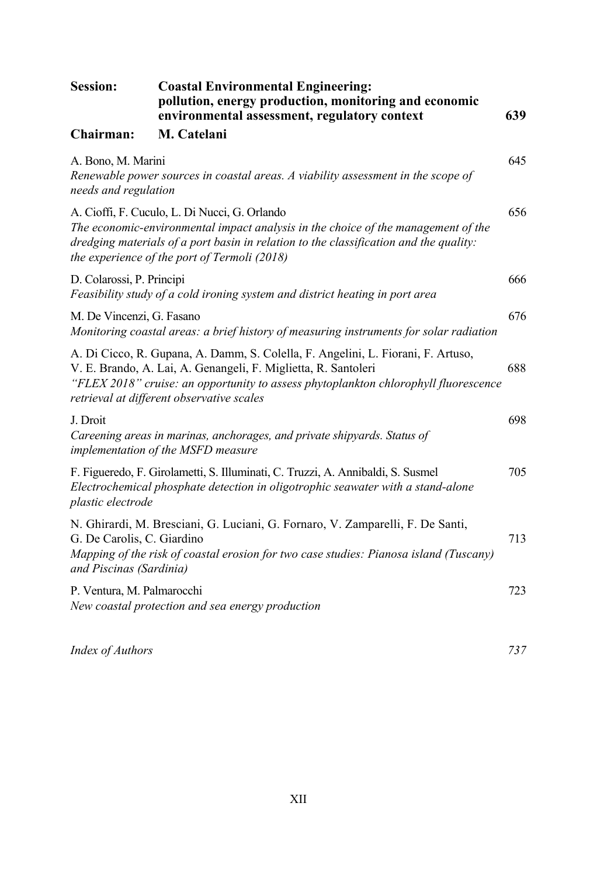| <b>Session:</b>                                                                                                                                                                                                                                                                        | <b>Coastal Environmental Engineering:</b><br>pollution, energy production, monitoring and economic<br>environmental assessment, regulatory context                                                                                                                          | 639 |
|----------------------------------------------------------------------------------------------------------------------------------------------------------------------------------------------------------------------------------------------------------------------------------------|-----------------------------------------------------------------------------------------------------------------------------------------------------------------------------------------------------------------------------------------------------------------------------|-----|
| Chairman:                                                                                                                                                                                                                                                                              | M. Catelani                                                                                                                                                                                                                                                                 |     |
| A. Bono, M. Marini<br>needs and regulation                                                                                                                                                                                                                                             | Renewable power sources in coastal areas. A viability assessment in the scope of                                                                                                                                                                                            | 645 |
|                                                                                                                                                                                                                                                                                        | A. Cioffi, F. Cuculo, L. Di Nucci, G. Orlando<br>The economic-environmental impact analysis in the choice of the management of the<br>dredging materials of a port basin in relation to the classification and the quality:<br>the experience of the port of Termoli (2018) | 656 |
| D. Colarossi, P. Principi<br>Feasibility study of a cold ironing system and district heating in port area                                                                                                                                                                              |                                                                                                                                                                                                                                                                             | 666 |
| M. De Vincenzi, G. Fasano<br>Monitoring coastal areas: a brief history of measuring instruments for solar radiation                                                                                                                                                                    |                                                                                                                                                                                                                                                                             | 676 |
| A. Di Cicco, R. Gupana, A. Damm, S. Colella, F. Angelini, L. Fiorani, F. Artuso,<br>V. E. Brando, A. Lai, A. Genangeli, F. Miglietta, R. Santoleri<br>"FLEX 2018" cruise: an opportunity to assess phytoplankton chlorophyll fluorescence<br>retrieval at different observative scales |                                                                                                                                                                                                                                                                             | 688 |
| J. Droit<br>Careening areas in marinas, anchorages, and private shipyards. Status of<br>implementation of the MSFD measure                                                                                                                                                             |                                                                                                                                                                                                                                                                             | 698 |
| F. Figueredo, F. Girolametti, S. Illuminati, C. Truzzi, A. Annibaldi, S. Susmel<br>Electrochemical phosphate detection in oligotrophic seawater with a stand-alone<br>plastic electrode                                                                                                |                                                                                                                                                                                                                                                                             | 705 |
| N. Ghirardi, M. Bresciani, G. Luciani, G. Fornaro, V. Zamparelli, F. De Santi,<br>G. De Carolis, C. Giardino<br>Mapping of the risk of coastal erosion for two case studies: Pianosa island (Tuscany)<br>and Piscinas (Sardinia)                                                       |                                                                                                                                                                                                                                                                             | 713 |
| P. Ventura, M. Palmarocchi                                                                                                                                                                                                                                                             | New coastal protection and sea energy production                                                                                                                                                                                                                            | 723 |
| Index of Authors                                                                                                                                                                                                                                                                       |                                                                                                                                                                                                                                                                             | 737 |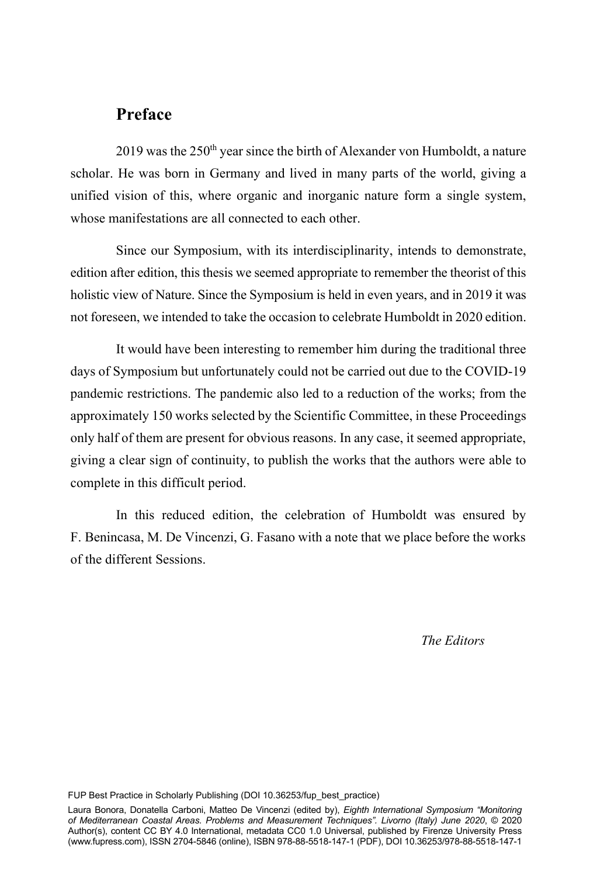#### **Preface**

 $2019$  was the  $250<sup>th</sup>$  year since the birth of Alexander von Humboldt, a nature scholar. He was born in Germany and lived in many parts of the world, giving a unified vision of this, where organic and inorganic nature form a single system, whose manifestations are all connected to each other.

Since our Symposium, with its interdisciplinarity, intends to demonstrate, edition after edition, this thesis we seemed appropriate to remember the theorist of this holistic view of Nature. Since the Symposium is held in even years, and in 2019 it was not foreseen, we intended to take the occasion to celebrate Humboldt in 2020 edition.

It would have been interesting to remember him during the traditional three days of Symposium but unfortunately could not be carried out due to the COVID-19 pandemic restrictions. The pandemic also led to a reduction of the works; from the approximately 150 works selected by the Scientific Committee, in these Proceedings only half of them are present for obvious reasons. In any case, it seemed appropriate, giving a clear sign of continuity, to publish the works that the authors were able to complete in this difficult period.

In this reduced edition, the celebration of Humboldt was ensured by F. Benincasa, M. De Vincenzi, G. Fasano with a note that we place before the works of the different Sessions.

*The Editors* 

FUP Best Practice in Scholarly Publishing (DOI [10.36253/fup\\_best\\_practice](https://doi.org/10.36253/fup_best_practice))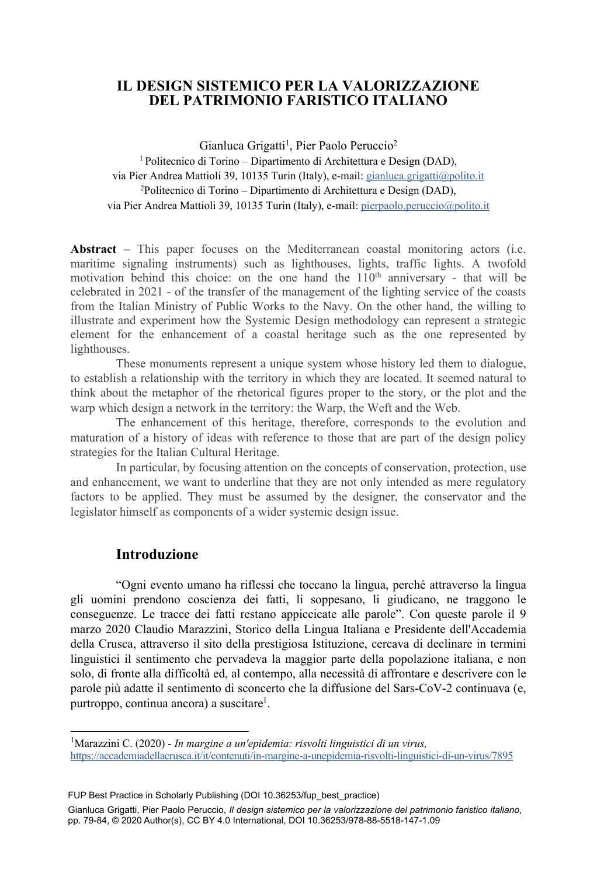#### **IL DESIGN SISTEMICO PER LA VALORIZZAZIONE DEL PATRIMONIO FARISTICO ITALIANO**

Gianluca Grigatti<sup>1</sup>, Pier Paolo Peruccio<sup>2</sup> 1 Politecnico di Torino – Dipartimento di Architettura e Design (DAD),

via Pier Andrea Mattioli 39, 10135 Turin (Italy), e-mail: gianluca.grigatti@polito.it 2Politecnico di Torino – Dipartimento di Architettura e Design (DAD), via Pier Andrea Mattioli 39, 10135 Turin (Italy), e-mail: pierpaolo.peruccio@polito.it

**Abstract** – This paper focuses on the Mediterranean coastal monitoring actors (i.e. maritime signaling instruments) such as lighthouses, lights, traffic lights. A twofold motivation behind this choice: on the one hand the  $110<sup>th</sup>$  anniversary - that will be celebrated in 2021 - of the transfer of the management of the lighting service of the coasts from the Italian Ministry of Public Works to the Navy. On the other hand, the willing to illustrate and experiment how the Systemic Design methodology can represent a strategic element for the enhancement of a coastal heritage such as the one represented by lighthouses.

These monuments represent a unique system whose history led them to dialogue, to establish a relationship with the territory in which they are located. It seemed natural to think about the metaphor of the rhetorical figures proper to the story, or the plot and the warp which design a network in the territory: the Warp, the Weft and the Web.

The enhancement of this heritage, therefore, corresponds to the evolution and maturation of a history of ideas with reference to those that are part of the design policy strategies for the Italian Cultural Heritage.

In particular, by focusing attention on the concepts of conservation, protection, use and enhancement, we want to underline that they are not only intended as mere regulatory factors to be applied. They must be assumed by the designer, the conservator and the legislator himself as components of a wider systemic design issue.

#### **Introduzione**

"Ogni evento umano ha riflessi che toccano la lingua, perché attraverso la lingua gli uomini prendono coscienza dei fatti, li soppesano, li giudicano, ne traggono le conseguenze. Le tracce dei fatti restano appiccicate alle parole". Con queste parole il 9 marzo 2020 Claudio Marazzini, Storico della Lingua Italiana e Presidente dell'Accademia della Crusca, attraverso il sito della prestigiosa Istituzione, cercava di declinare in termini linguistici il sentimento che pervadeva la maggior parte della popolazione italiana, e non solo, di fronte alla difficoltà ed, al contempo, alla necessità di affrontare e descrivere con le parole più adatte il sentimento di sconcerto che la diffusione del Sars-CoV-2 continuava (e, purtroppo, continua ancora) a suscitare<sup>1</sup>.

79 FUP Best Practice in Scholarly Publishing (DOI [10.36253/fup\\_best\\_practice](https://doi.org/10.36253/fup_best_practice))

Gianluca Grigatti, Pier Paolo Peruccio, *Il design sistemico per la valorizzazione del patrimonio faristico italiano*, pp. 79-84, © 2020 Author(s), [CC BY 4.0 International,](http://creativecommons.org/licenses/by/4.0/legalcode) DOI [10.36253/978-88-5518-147-1.09](https://doi.org/10.36253/978-88-5518-147-1.09)

<sup>1</sup> Marazzini C. (2020) - *In margine a un'epidemia: risvolti linguistici di un virus,*  https://accademiadellacrusca.it/it/contenuti/in-margine-a-unepidemia-risvolti-linguistici-di-un-virus/7895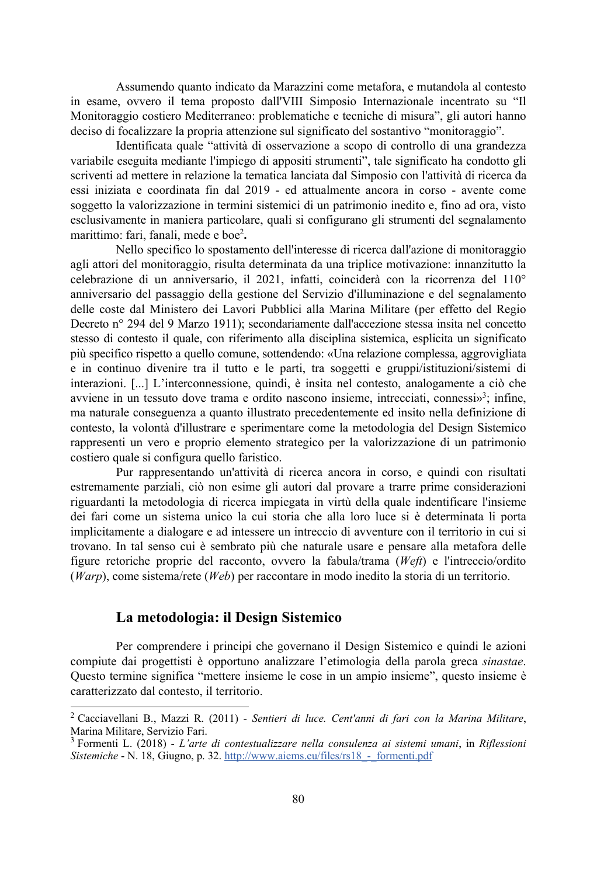Assumendo quanto indicato da Marazzini come metafora, e mutandola al contesto in esame, ovvero il tema proposto dall'VIII Simposio Internazionale incentrato su "Il Monitoraggio costiero Mediterraneo: problematiche e tecniche di misura", gli autori hanno deciso di focalizzare la propria attenzione sul significato del sostantivo "monitoraggio".

Identificata quale "attività di osservazione a scopo di controllo di una grandezza variabile eseguita mediante l'impiego di appositi strumenti", tale significato ha condotto gli scriventi ad mettere in relazione la tematica lanciata dal Simposio con l'attività di ricerca da essi iniziata e coordinata fin dal 2019 - ed attualmente ancora in corso - avente come soggetto la valorizzazione in termini sistemici di un patrimonio inedito e, fino ad ora, visto esclusivamente in maniera particolare, quali si configurano gli strumenti del segnalamento marittimo: fari, fanali, mede e boe2 **.**

Nello specifico lo spostamento dell'interesse di ricerca dall'azione di monitoraggio agli attori del monitoraggio, risulta determinata da una triplice motivazione: innanzitutto la celebrazione di un anniversario, il 2021, infatti, coinciderà con la ricorrenza del 110° anniversario del passaggio della gestione del Servizio d'illuminazione e del segnalamento delle coste dal Ministero dei Lavori Pubblici alla Marina Militare (per effetto del Regio Decreto n° 294 del 9 Marzo 1911); secondariamente dall'accezione stessa insita nel concetto stesso di contesto il quale, con riferimento alla disciplina sistemica, esplicita un significato più specifico rispetto a quello comune, sottendendo: «Una relazione complessa, aggrovigliata e in continuo divenire tra il tutto e le parti, tra soggetti e gruppi/istituzioni/sistemi di interazioni. [...] L'interconnessione, quindi, è insita nel contesto, analogamente a ciò che avviene in un tessuto dove trama e ordito nascono insieme, intrecciati, connessi»<sup>3</sup>; infine, ma naturale conseguenza a quanto illustrato precedentemente ed insito nella definizione di contesto, la volontà d'illustrare e sperimentare come la metodologia del Design Sistemico rappresenti un vero e proprio elemento strategico per la valorizzazione di un patrimonio costiero quale si configura quello faristico.

Pur rappresentando un'attività di ricerca ancora in corso, e quindi con risultati estremamente parziali, ciò non esime gli autori dal provare a trarre prime considerazioni riguardanti la metodologia di ricerca impiegata in virtù della quale indentificare l'insieme dei fari come un sistema unico la cui storia che alla loro luce si è determinata li porta implicitamente a dialogare e ad intessere un intreccio di avventure con il territorio in cui si trovano. In tal senso cui è sembrato più che naturale usare e pensare alla metafora delle figure retoriche proprie del racconto, ovvero la fabula/trama (*Weft*) e l'intreccio/ordito (*Warp*), come sistema/rete (*Web*) per raccontare in modo inedito la storia di un territorio.

#### **La metodologia: il Design Sistemico**

Per comprendere i principi che governano il Design Sistemico e quindi le azioni compiute dai progettisti è opportuno analizzare l'etimologia della parola greca *sinastae*. Questo termine significa "mettere insieme le cose in un ampio insieme", questo insieme è caratterizzato dal contesto, il territorio.

<sup>2</sup> Cacciavellani B., Mazzi R. (2011) - *Sentieri di luce. Cent'anni di fari con la Marina Militare*, Marina Militare, Servizio Fari.

<sup>3</sup> Formenti L. (2018) - *L'arte di contestualizzare nella consulenza ai sistemi umani*, in *Riflessioni Sistemiche* - N. 18, Giugno, p. 32. http://www.aiems.eu/files/rs18\_-\_formenti.pdf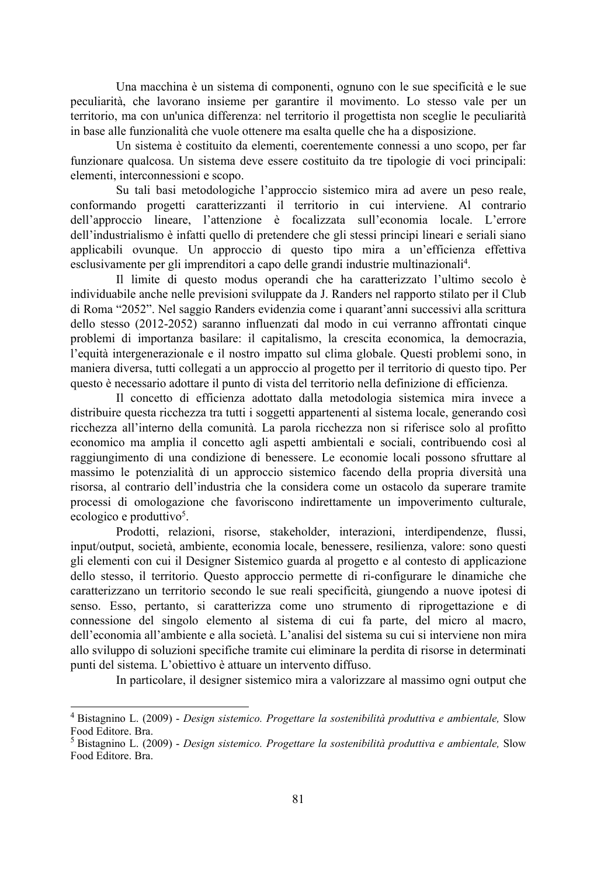Una macchina è un sistema di componenti, ognuno con le sue specificità e le sue peculiarità, che lavorano insieme per garantire il movimento. Lo stesso vale per un territorio, ma con un'unica differenza: nel territorio il progettista non sceglie le peculiarità in base alle funzionalità che vuole ottenere ma esalta quelle che ha a disposizione.

Un sistema è costituito da elementi, coerentemente connessi a uno scopo, per far funzionare qualcosa. Un sistema deve essere costituito da tre tipologie di voci principali: elementi, interconnessioni e scopo.

Su tali basi metodologiche l'approccio sistemico mira ad avere un peso reale, conformando progetti caratterizzanti il territorio in cui interviene. Al contrario dell'approccio lineare, l'attenzione è focalizzata sull'economia locale. L'errore dell'industrialismo è infatti quello di pretendere che gli stessi principi lineari e seriali siano applicabili ovunque. Un approccio di questo tipo mira a un'efficienza effettiva esclusivamente per gli imprenditori a capo delle grandi industrie multinazionali<sup>4</sup>.

Il limite di questo modus operandi che ha caratterizzato l'ultimo secolo è individuabile anche nelle previsioni sviluppate da J. Randers nel rapporto stilato per il Club di Roma "2052". Nel saggio Randers evidenzia come i quarant'anni successivi alla scrittura dello stesso (2012-2052) saranno influenzati dal modo in cui verranno affrontati cinque problemi di importanza basilare: il capitalismo, la crescita economica, la democrazia, l'equità intergenerazionale e il nostro impatto sul clima globale. Questi problemi sono, in maniera diversa, tutti collegati a un approccio al progetto per il territorio di questo tipo. Per questo è necessario adottare il punto di vista del territorio nella definizione di efficienza.

Il concetto di efficienza adottato dalla metodologia sistemica mira invece a distribuire questa ricchezza tra tutti i soggetti appartenenti al sistema locale, generando così ricchezza all'interno della comunità. La parola ricchezza non si riferisce solo al profitto economico ma amplia il concetto agli aspetti ambientali e sociali, contribuendo così al raggiungimento di una condizione di benessere. Le economie locali possono sfruttare al massimo le potenzialità di un approccio sistemico facendo della propria diversità una risorsa, al contrario dell'industria che la considera come un ostacolo da superare tramite processi di omologazione che favoriscono indirettamente un impoverimento culturale, ecologico e produttivo<sup>5</sup>.

Prodotti, relazioni, risorse, stakeholder, interazioni, interdipendenze, flussi, input/output, società, ambiente, economia locale, benessere, resilienza, valore: sono questi gli elementi con cui il Designer Sistemico guarda al progetto e al contesto di applicazione dello stesso, il territorio. Questo approccio permette di ri-configurare le dinamiche che caratterizzano un territorio secondo le sue reali specificità, giungendo a nuove ipotesi di senso. Esso, pertanto, si caratterizza come uno strumento di riprogettazione e di connessione del singolo elemento al sistema di cui fa parte, del micro al macro, dell'economia all'ambiente e alla società. L'analisi del sistema su cui si interviene non mira allo sviluppo di soluzioni specifiche tramite cui eliminare la perdita di risorse in determinati punti del sistema. L'obiettivo è attuare un intervento diffuso.

In particolare, il designer sistemico mira a valorizzare al massimo ogni output che

<sup>4</sup> Bistagnino L. (2009) - *Design sistemico. Progettare la sostenibilità produttiva e ambientale,* Slow Food Editore. Bra.

<sup>5</sup> Bistagnino L. (2009) - *Design sistemico. Progettare la sostenibilità produttiva e ambientale,* Slow Food Editore. Bra.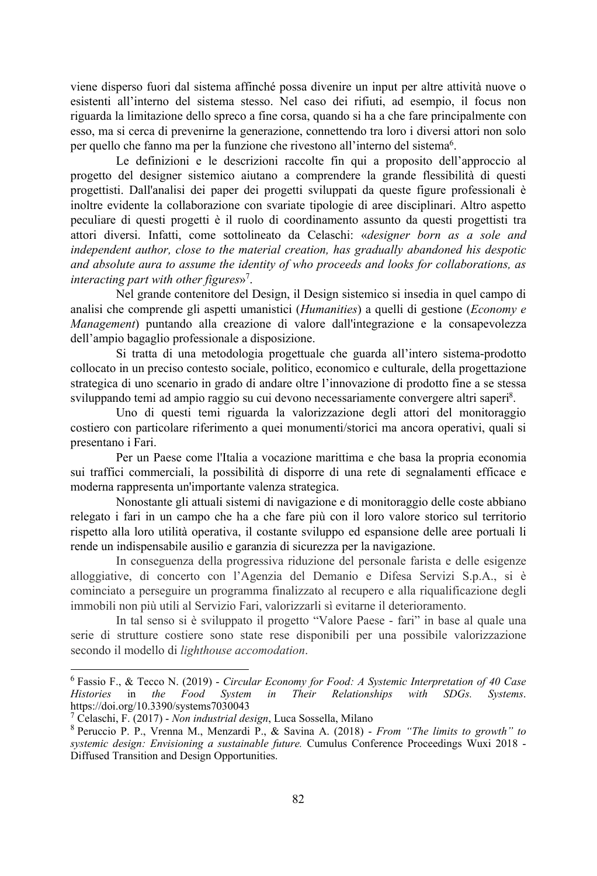viene disperso fuori dal sistema affinché possa divenire un input per altre attività nuove o esistenti all'interno del sistema stesso. Nel caso dei rifiuti, ad esempio, il focus non riguarda la limitazione dello spreco a fine corsa, quando si ha a che fare principalmente con esso, ma si cerca di prevenirne la generazione, connettendo tra loro i diversi attori non solo per quello che fanno ma per la funzione che rivestono all'interno del sistema<sup>6</sup>.

Le definizioni e le descrizioni raccolte fin qui a proposito dell'approccio al progetto del designer sistemico aiutano a comprendere la grande flessibilità di questi progettisti. Dall'analisi dei paper dei progetti sviluppati da queste figure professionali è inoltre evidente la collaborazione con svariate tipologie di aree disciplinari. Altro aspetto peculiare di questi progetti è il ruolo di coordinamento assunto da questi progettisti tra attori diversi. Infatti, come sottolineato da Celaschi: «*designer born as a sole and independent author, close to the material creation, has gradually abandoned his despotic and absolute aura to assume the identity of who proceeds and looks for collaborations, as interacting part with other figures*»7 .

Nel grande contenitore del Design, il Design sistemico si insedia in quel campo di analisi che comprende gli aspetti umanistici (*Humanities*) a quelli di gestione (*Economy e Management*) puntando alla creazione di valore dall'integrazione e la consapevolezza dell'ampio bagaglio professionale a disposizione.

Si tratta di una metodologia progettuale che guarda all'intero sistema-prodotto collocato in un preciso contesto sociale, politico, economico e culturale, della progettazione strategica di uno scenario in grado di andare oltre l'innovazione di prodotto fine a se stessa sviluppando temi ad ampio raggio su cui devono necessariamente convergere altri saperi<sup>8</sup>.

Uno di questi temi riguarda la valorizzazione degli attori del monitoraggio costiero con particolare riferimento a quei monumenti/storici ma ancora operativi, quali si presentano i Fari.

Per un Paese come l'Italia a vocazione marittima e che basa la propria economia sui traffici commerciali, la possibilità di disporre di una rete di segnalamenti efficace e moderna rappresenta un'importante valenza strategica.

Nonostante gli attuali sistemi di navigazione e di monitoraggio delle coste abbiano relegato i fari in un campo che ha a che fare più con il loro valore storico sul territorio rispetto alla loro utilità operativa, il costante sviluppo ed espansione delle aree portuali li rende un indispensabile ausilio e garanzia di sicurezza per la navigazione.

In conseguenza della progressiva riduzione del personale farista e delle esigenze alloggiative, di concerto con l'Agenzia del Demanio e Difesa Servizi S.p.A., si è cominciato a perseguire un programma finalizzato al recupero e alla riqualificazione degli immobili non più utili al Servizio Fari, valorizzarli sì evitarne il deterioramento.

In tal senso si è sviluppato il progetto "Valore Paese - fari" in base al quale una serie di strutture costiere sono state rese disponibili per una possibile valorizzazione secondo il modello di *lighthouse accomodation*.

<sup>6</sup> Fassio F., & Tecco N. (2019) - *Circular Economy for Food: A Systemic Interpretation of 40 Case Histories* in *the Food System in Their Relationships with SDGs. Systems*. https://doi.org/10.3390/systems7030043

<sup>&</sup>lt;sup>7</sup> Celaschi, F. (2017) - *Non industrial design*, Luca Sossella, Milano 8<br>8 Peruccio P. P. Vrenna M. Menzardi P. & Savina A. (2018) -

Peruccio P. P., Vrenna M., Menzardi P., & Savina A. (2018) - *From "The limits to growth" to systemic design: Envisioning a sustainable future.* Cumulus Conference Proceedings Wuxi 2018 - Diffused Transition and Design Opportunities.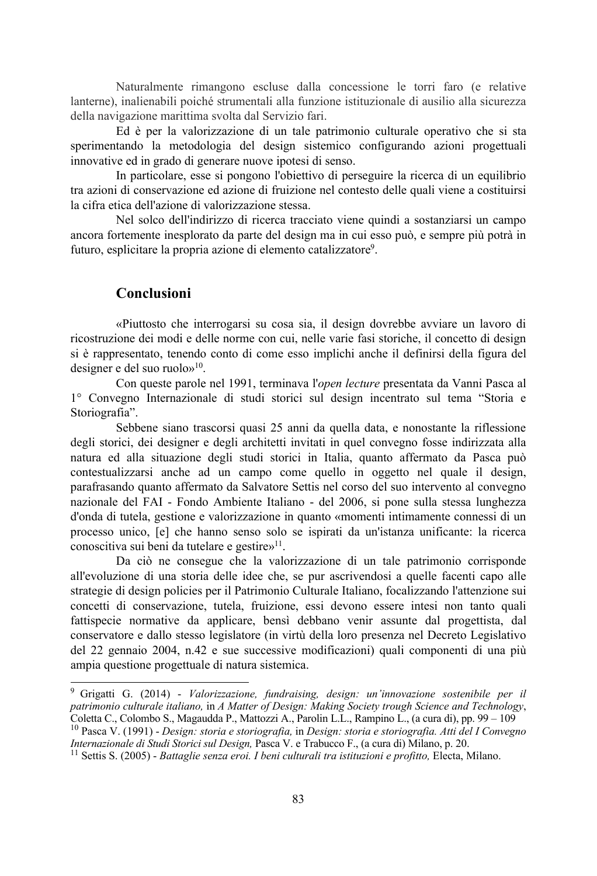Naturalmente rimangono escluse dalla concessione le torri faro (e relative lanterne), inalienabili poiché strumentali alla funzione istituzionale di ausilio alla sicurezza della navigazione marittima svolta dal Servizio fari.

Ed è per la valorizzazione di un tale patrimonio culturale operativo che si sta sperimentando la metodologia del design sistemico configurando azioni progettuali innovative ed in grado di generare nuove ipotesi di senso.

In particolare, esse si pongono l'obiettivo di perseguire la ricerca di un equilibrio tra azioni di conservazione ed azione di fruizione nel contesto delle quali viene a costituirsi la cifra etica dell'azione di valorizzazione stessa.

Nel solco dell'indirizzo di ricerca tracciato viene quindi a sostanziarsi un campo ancora fortemente inesplorato da parte del design ma in cui esso può, e sempre più potrà in futuro, esplicitare la propria azione di elemento catalizzatore<sup>9</sup>.

#### **Conclusioni**

«Piuttosto che interrogarsi su cosa sia, il design dovrebbe avviare un lavoro di ricostruzione dei modi e delle norme con cui, nelle varie fasi storiche, il concetto di design si è rappresentato, tenendo conto di come esso implichi anche il definirsi della figura del designer e del suo ruolo»10.

Con queste parole nel 1991, terminava l'*open lecture* presentata da Vanni Pasca al 1° Convegno Internazionale di studi storici sul design incentrato sul tema "Storia e Storiografia".

Sebbene siano trascorsi quasi 25 anni da quella data, e nonostante la riflessione degli storici, dei designer e degli architetti invitati in quel convegno fosse indirizzata alla natura ed alla situazione degli studi storici in Italia, quanto affermato da Pasca può contestualizzarsi anche ad un campo come quello in oggetto nel quale il design, parafrasando quanto affermato da Salvatore Settis nel corso del suo intervento al convegno nazionale del FAI - Fondo Ambiente Italiano - del 2006, si pone sulla stessa lunghezza d'onda di tutela, gestione e valorizzazione in quanto «momenti intimamente connessi di un processo unico, [e] che hanno senso solo se ispirati da un'istanza unificante: la ricerca conoscitiva sui beni da tutelare e gestire»<sup>11</sup>.

Da ciò ne consegue che la valorizzazione di un tale patrimonio corrisponde all'evoluzione di una storia delle idee che, se pur ascrivendosi a quelle facenti capo alle strategie di design policies per il Patrimonio Culturale Italiano, focalizzando l'attenzione sui concetti di conservazione, tutela, fruizione, essi devono essere intesi non tanto quali fattispecie normative da applicare, bensì debbano venir assunte dal progettista, dal conservatore e dallo stesso legislatore (in virtù della loro presenza nel Decreto Legislativo del 22 gennaio 2004, n.42 e sue successive modificazioni) quali componenti di una più ampia questione progettuale di natura sistemica.

<sup>9</sup> Grigatti G. (2014) - *Valorizzazione, fundraising, design: un'innovazione sostenibile per il patrimonio culturale italiano,* in *A Matter of Design: Making Society trough Science and Technology*,

<sup>&</sup>lt;sup>10</sup> Pasca V. (1991) - *Design: storia e storiografia*, in *Design: storia e storiografia. Atti del I Convegno Internazionale di Studi Storici sul Design*, Pasca V. e Trabucco F., (a cura di) Milano, p. 20.

<sup>&</sup>lt;sup>11</sup> Settis S. (2005) - *Battaglie senza eroi. I beni culturali tra istituzioni e profitto, Electa, Milano.*